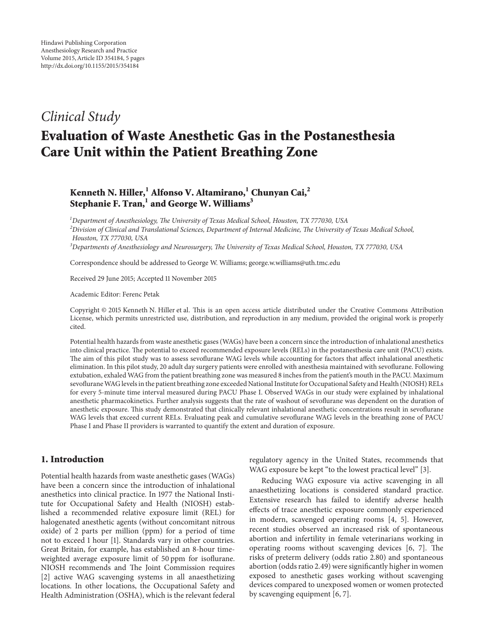# *Clinical Study*

# **Evaluation of Waste Anesthetic Gas in the Postanesthesia Care Unit within the Patient Breathing Zone**

# **Kenneth N. Hiller,1 Alfonso V. Altamirano,<sup>1</sup> Chunyan Cai,2** Stephanie F. Tran,<sup>1</sup> and George W. Williams<sup>3</sup>

 *Department of Anesthesiology, The University of Texas Medical School, Houston, TX 777030, USA Division of Clinical and Translational Sciences, Department of Internal Medicine, The University of Texas Medical School, Houston, TX 777030, USA Departments of Anesthesiology and Neurosurgery, The University of Texas Medical School, Houston, TX 777030, USA*

Correspondence should be addressed to George W. Williams; george.w.williams@uth.tmc.edu

Received 29 June 2015; Accepted 11 November 2015

Academic Editor: Ferenc Petak

Copyright © 2015 Kenneth N. Hiller et al. This is an open access article distributed under the Creative Commons Attribution License, which permits unrestricted use, distribution, and reproduction in any medium, provided the original work is properly cited.

Potential health hazards from waste anesthetic gases (WAGs) have been a concern since the introduction of inhalational anesthetics into clinical practice. The potential to exceed recommended exposure levels (RELs) in the postanesthesia care unit (PACU) exists. The aim of this pilot study was to assess sevoflurane WAG levels while accounting for factors that affect inhalational anesthetic elimination. In this pilot study, 20 adult day surgery patients were enrolled with anesthesia maintained with sevoflurane. Following extubation, exhaled WAG from the patient breathing zone was measured 8 inches from the patient's mouth in the PACU. Maximum sevofluraneWAG levels in the patient breathing zone exceeded National Institute for Occupational Safety and Health (NIOSH) RELs for every 5-minute time interval measured during PACU Phase I. Observed WAGs in our study were explained by inhalational anesthetic pharmacokinetics. Further analysis suggests that the rate of washout of sevoflurane was dependent on the duration of anesthetic exposure. This study demonstrated that clinically relevant inhalational anesthetic concentrations result in sevoflurane WAG levels that exceed current RELs. Evaluating peak and cumulative sevoflurane WAG levels in the breathing zone of PACU Phase I and Phase II providers is warranted to quantify the extent and duration of exposure.

## **1. Introduction**

Potential health hazards from waste anesthetic gases (WAGs) have been a concern since the introduction of inhalational anesthetics into clinical practice. In 1977 the National Institute for Occupational Safety and Health (NIOSH) established a recommended relative exposure limit (REL) for halogenated anesthetic agents (without concomitant nitrous oxide) of 2 parts per million (ppm) for a period of time not to exceed 1 hour [1]. Standards vary in other countries. Great Britain, for example, has established an 8-hour timeweighted average exposure limit of 50 ppm for isoflurane. NIOSH recommends and The Joint Commission requires [2] active WAG scavenging systems in all anaesthetizing locations. In other locations, the Occupational Safety and Health Administration (OSHA), which is the relevant federal

regulatory agency in the United States, recommends that WAG exposure be kept "to the lowest practical level" [3].

Reducing WAG exposure via active scavenging in all anaesthetizing locations is considered standard practice. Extensive research has failed to identify adverse health effects of trace anesthetic exposure commonly experienced in modern, scavenged operating rooms [4, 5]. However, recent studies observed an increased risk of spontaneous abortion and infertility in female veterinarians working in operating rooms without scavenging devices [6, 7]. The risks of preterm delivery (odds ratio 2.80) and spontaneous abortion (odds ratio 2.49) were significantly higher in women exposed to anesthetic gases working without scavenging devices compared to unexposed women or women protected by scavenging equipment [6, 7].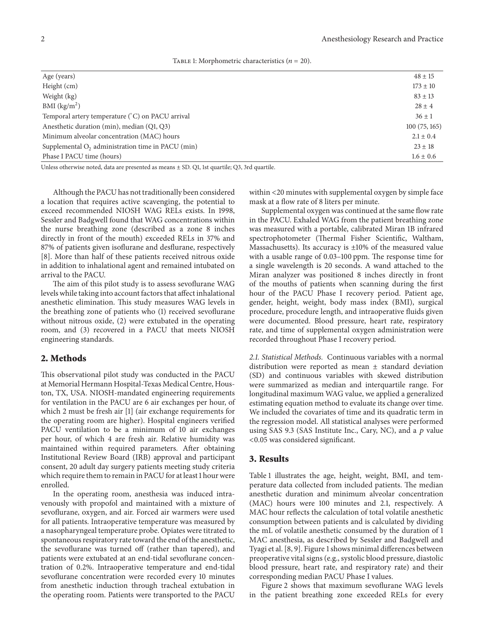| TABLE 1: Morphometric characteristics ( $n = 20$ ). |  |  |
|-----------------------------------------------------|--|--|
|-----------------------------------------------------|--|--|

| Age (years)                                          | $48 \pm 15$   |
|------------------------------------------------------|---------------|
| Height (cm)                                          | $173 \pm 10$  |
| Weight (kg)                                          | $83 \pm 13$   |
| BMI $(kg/m2)$                                        | $28 \pm 4$    |
| Temporal artery temperature (°C) on PACU arrival     | $36 \pm 1$    |
| Anesthetic duration (min), median (Q1, Q3)           | 100(75, 165)  |
| Minimum alveolar concentration (MAC) hours           | $2.1 \pm 0.4$ |
| Supplemental $O_2$ administration time in PACU (min) | $23 \pm 18$   |
| Phase I PACU time (hours)                            | $1.6 \pm 0.6$ |
|                                                      |               |

Unless otherwise noted, data are presented as means ± SD. Q1, 1st quartile; Q3, 3rd quartile.

Although the PACU has not traditionally been considered a location that requires active scavenging, the potential to exceed recommended NIOSH WAG RELs exists. In 1998, Sessler and Badgwell found that WAG concentrations within the nurse breathing zone (described as a zone 8 inches directly in front of the mouth) exceeded RELs in 37% and 87% of patients given isoflurane and desflurane, respectively [8]. More than half of these patients received nitrous oxide in addition to inhalational agent and remained intubated on arrival to the PACU.

The aim of this pilot study is to assess sevoflurane WAG levels while taking into account factors that affect inhalational anesthetic elimination. This study measures WAG levels in the breathing zone of patients who (1) received sevoflurane without nitrous oxide, (2) were extubated in the operating room, and (3) recovered in a PACU that meets NIOSH engineering standards.

#### **2. Methods**

This observational pilot study was conducted in the PACU at Memorial Hermann Hospital-Texas Medical Centre, Houston, TX, USA. NIOSH-mandated engineering requirements for ventilation in the PACU are 6 air exchanges per hour, of which 2 must be fresh air [1] (air exchange requirements for the operating room are higher). Hospital engineers verified PACU ventilation to be a minimum of 10 air exchanges per hour, of which 4 are fresh air. Relative humidity was maintained within required parameters. After obtaining Institutional Review Board (IRB) approval and participant consent, 20 adult day surgery patients meeting study criteria which require them to remain in PACU for at least 1 hour were enrolled.

In the operating room, anesthesia was induced intravenously with propofol and maintained with a mixture of sevoflurane, oxygen, and air. Forced air warmers were used for all patients. Intraoperative temperature was measured by a nasopharyngeal temperature probe. Opiates were titrated to spontaneous respiratory rate toward the end of the anesthetic, the sevoflurane was turned off (rather than tapered), and patients were extubated at an end-tidal sevoflurane concentration of 0.2%. Intraoperative temperature and end-tidal sevoflurane concentration were recorded every 10 minutes from anesthetic induction through tracheal extubation in the operating room. Patients were transported to the PACU

within <20 minutes with supplemental oxygen by simple face mask at a flow rate of 8 liters per minute.

Supplemental oxygen was continued at the same flow rate in the PACU. Exhaled WAG from the patient breathing zone was measured with a portable, calibrated Miran 1B infrared spectrophotometer (Thermal Fisher Scientific, Waltham, Massachusetts). Its accuracy is ±10% of the measured value with a usable range of 0.03–100 ppm. The response time for a single wavelength is 20 seconds. A wand attached to the Miran analyzer was positioned 8 inches directly in front of the mouths of patients when scanning during the first hour of the PACU Phase I recovery period. Patient age, gender, height, weight, body mass index (BMI), surgical procedure, procedure length, and intraoperative fluids given were documented. Blood pressure, heart rate, respiratory rate, and time of supplemental oxygen administration were recorded throughout Phase I recovery period.

*2.1. Statistical Methods.* Continuous variables with a normal distribution were reported as mean ± standard deviation (SD) and continuous variables with skewed distribution were summarized as median and interquartile range. For longitudinal maximum WAG value, we applied a generalized estimating equation method to evaluate its change over time. We included the covariates of time and its quadratic term in the regression model. All statistical analyses were performed using SAS 9.3 (SAS Institute Inc., Cary, NC), and a  $p$  value <0.05 was considered significant.

#### **3. Results**

Table 1 illustrates the age, height, weight, BMI, and temperature data collected from included patients. The median anesthetic duration and minimum alveolar concentration (MAC) hours were 100 minutes and 2.1, respectively. A MAC hour reflects the calculation of total volatile anesthetic consumption between patients and is calculated by dividing the mL of volatile anesthetic consumed by the duration of 1 MAC anesthesia, as described by Sessler and Badgwell and Tyagi et al. [8, 9]. Figure 1 shows minimal differences between preoperative vital signs (e.g., systolic blood pressure, diastolic blood pressure, heart rate, and respiratory rate) and their corresponding median PACU Phase I values.

Figure 2 shows that maximum sevoflurane WAG levels in the patient breathing zone exceeded RELs for every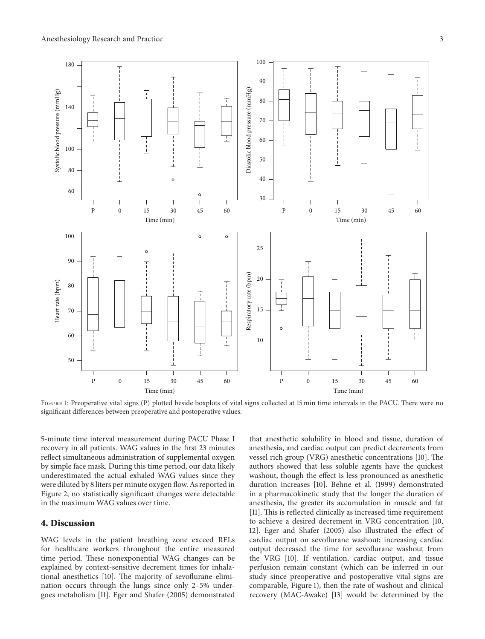

FIGURE 1: Preoperative vital signs (P) plotted beside boxplots of vital signs collected at 15 min time intervals in the PACU. There were no significant differences between preoperative and postoperative values.

5-minute time interval measurement during PACU Phase I recovery in all patients. WAG values in the first 23 minutes reflect simultaneous administration of supplemental oxygen by simple face mask. During this time period, our data likely underestimated the actual exhaled WAG values since they were diluted by 8 liters per minute oxygen flow. As reported in Figure 2, no statistically significant changes were detectable in the maximum WAG values over time.

#### **4. Discussion**

WAG levels in the patient breathing zone exceed RELs for healthcare workers throughout the entire measured time period. These nonexponential WAG changes can be explained by context-sensitive decrement times for inhalational anesthetics [10]. The majority of sevoflurane elimination occurs through the lungs since only 2–5% undergoes metabolism [11]. Eger and Shafer (2005) demonstrated that anesthetic solubility in blood and tissue, duration of anesthesia, and cardiac output can predict decrements from vessel rich group (VRG) anesthetic concentrations [10]. The authors showed that less soluble agents have the quickest washout, though the effect is less pronounced as anesthetic duration increases [10]. Behne et al. (1999) demonstrated in a pharmacokinetic study that the longer the duration of anesthesia, the greater its accumulation in muscle and fat [11]. This is reflected clinically as increased time requirement to achieve a desired decrement in VRG concentration [10, 12]. Eger and Shafer (2005) also illustrated the effect of cardiac output on sevoflurane washout; increasing cardiac output decreased the time for sevoflurane washout from the VRG [10]. If ventilation, cardiac output, and tissue perfusion remain constant (which can be inferred in our study since preoperative and postoperative vital signs are comparable, Figure 1), then the rate of washout and clinical recovery (MAC-Awake) [13] would be determined by the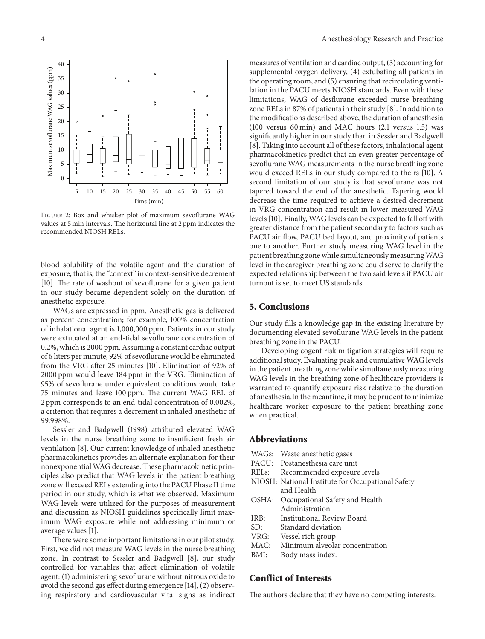

Figure 2: Box and whisker plot of maximum sevoflurane WAG values at 5 min intervals. The horizontal line at 2 ppm indicates the recommended NIOSH RELs.

blood solubility of the volatile agent and the duration of exposure, that is, the "context" in context-sensitive decrement [10]. The rate of washout of sevoflurane for a given patient in our study became dependent solely on the duration of anesthetic exposure.

WAGs are expressed in ppm. Anesthetic gas is delivered as percent concentration; for example, 100% concentration of inhalational agent is 1,000,000 ppm. Patients in our study were extubated at an end-tidal sevoflurane concentration of 0.2%, which is 2000 ppm. Assuming a constant cardiac output of 6 liters per minute, 92% of sevoflurane would be eliminated from the VRG after 25 minutes [10]. Elimination of 92% of 2000 ppm would leave 184 ppm in the VRG. Elimination of 95% of sevoflurane under equivalent conditions would take 75 minutes and leave 100 ppm. The current WAG REL of 2 ppm corresponds to an end-tidal concentration of 0.002%, a criterion that requires a decrement in inhaled anesthetic of 99.998%.

Sessler and Badgwell (1998) attributed elevated WAG levels in the nurse breathing zone to insufficient fresh air ventilation [8]. Our current knowledge of inhaled anesthetic pharmacokinetics provides an alternate explanation for their nonexponential WAG decrease.These pharmacokinetic principles also predict that WAG levels in the patient breathing zone will exceed RELs extending into the PACU Phase II time period in our study, which is what we observed. Maximum WAG levels were utilized for the purposes of measurement and discussion as NIOSH guidelines specifically limit maximum WAG exposure while not addressing minimum or average values [1].

There were some important limitations in our pilot study. First, we did not measure WAG levels in the nurse breathing zone. In contrast to Sessler and Badgwell [8], our study controlled for variables that affect elimination of volatile agent: (1) administering sevoflurane without nitrous oxide to avoid the second gas effect during emergence [14], (2) observing respiratory and cardiovascular vital signs as indirect measures of ventilation and cardiac output, (3) accounting for supplemental oxygen delivery, (4) extubating all patients in the operating room, and (5) ensuring that recirculating ventilation in the PACU meets NIOSH standards. Even with these limitations, WAG of desflurane exceeded nurse breathing zone RELs in 87% of patients in their study [8]. In addition to the modifications described above, the duration of anesthesia (100 versus 60 min) and MAC hours (2.1 versus 1.5) was significantly higher in our study than in Sessler and Badgwell [8]. Taking into account all of these factors, inhalational agent pharmacokinetics predict that an even greater percentage of sevoflurane WAG measurements in the nurse breathing zone would exceed RELs in our study compared to theirs [10]. A second limitation of our study is that sevoflurane was not tapered toward the end of the anesthetic. Tapering would decrease the time required to achieve a desired decrement in VRG concentration and result in lower measured WAG levels [10]. Finally, WAG levels can be expected to fall off with greater distance from the patient secondary to factors such as PACU air flow, PACU bed layout, and proximity of patients one to another. Further study measuring WAG level in the patient breathing zone while simultaneously measuringWAG level in the caregiver breathing zone could serve to clarify the expected relationship between the two said levels if PACU air turnout is set to meet US standards.

#### **5. Conclusions**

Our study fills a knowledge gap in the existing literature by documenting elevated sevoflurane WAG levels in the patient breathing zone in the PACU.

Developing cogent risk mitigation strategies will require additional study. Evaluating peak and cumulative WAG levels in the patient breathing zone while simultaneously measuring WAG levels in the breathing zone of healthcare providers is warranted to quantify exposure risk relative to the duration of anesthesia.In the meantime, it may be prudent to minimize healthcare worker exposure to the patient breathing zone when practical.

#### **Abbreviations**

- WAGs: Waste anesthetic gases
- PACU: Postanesthesia care unit
- RELs: Recommended exposure levels
- NIOSH: National Institute for Occupational Safety and Health
- OSHA: Occupational Safety and Health Administration
- IRB: Institutional Review Board
- SD: Standard deviation
- VRG: Vessel rich group
- MAC: Minimum alveolar concentration
- BMI: Body mass index.

### **Conflict of Interests**

The authors declare that they have no competing interests.